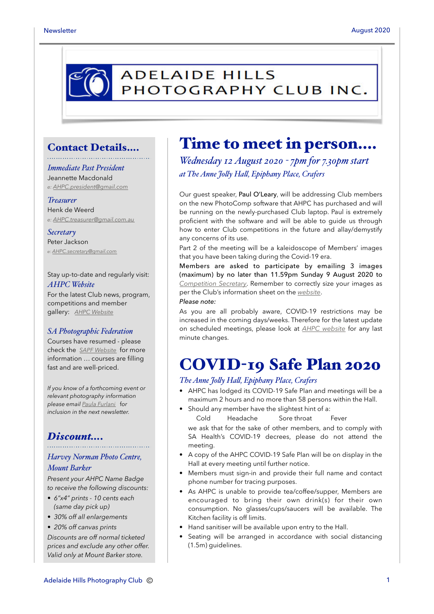# **ADELAIDE HILLS** PHOTOGRAPHY CLUB INC.

### Contact Details….

### *Immediate Past President* Jeannette Macdonald

*e: [AHPC.president@gmail.com](mailto:AHPC.president@gmail.com)*

### *Treasurer*

Henk de Weerd *e: [AHPC.treasurer@gmail.com.au](mailto:AHPC.treasurer@gmail.com.au)*

#### *Secretary* Peter Jackson *e: [AHPC.secretary@gmail.com](mailto:AHPC.secretary@gmail.com)*

Stay up-to-date and regularly visit: *AHPC Website*

For the latest Club news, program, competitions and member gallery: *[AHPC Website](http://www.adelaidehillsphotographyclub.com.au)*

### *SA Photographic Federation*

Courses have resumed - please check the *[SAPF Website](https://www.sapf.org.au)* for more information … courses are filling fast and are well-priced.

*If you know of a forthcoming event or relevant photography information please email [Paula Furlani](mailto:paulaphotoclick@gmail.com)* f*or inclusion in the next newsletter.* 

### *Discount….*

### *Harvey Norman Photo Centre, Mount Barker*

*Present your AHPC Name Badge to receive the following discounts:* 

- *6"x4" prints 10 cents each (same day pick up)*
- *30% off all enlargements*
- *20% off canvas prints*

*Discounts are off normal ticketed prices and exclude any other offer. Valid only at Mount Barker store.*

## Time to meet in person….

*Wednesday 12 August 2020 - 7pm for 7.30pm start at The Anne Joly Hal, Epiphany Place, Crafers*

Our guest speaker, Paul O'Leary, will be addressing Club members on the new PhotoComp software that AHPC has purchased and will be running on the newly-purchased Club laptop. Paul is extremely proficient with the software and will be able to guide us through how to enter Club competitions in the future and allay/demystify any concerns of its use.

Part 2 of the meeting will be a kaleidoscope of Members' images that you have been taking during the Covid-19 era.

Members are asked to participate by emailing 3 images (maximum) by no later than 11.59pm Sunday 9 August 2020 to *[Competition Secretary](mailto:ahpc.competitionsecretary@gmail.com?subject=AHPC%20-%20competition%20entries)*. Remember to correctly size your images as per the Club's information sheet on the *[website](https://www.adelaidehillsphotographyclub.com.au/workshops?start=2)*.

#### *Please note:*

As you are all probably aware, COVID-19 restrictions may be increased in the coming days/weeks. Therefore for the latest update on scheduled meetings, please look at *[AHPC website](https://www.adelaidehillsphotographyclub.com.au)* for any last minute changes.

## COVID-19 Safe Plan 2020

#### *The Anne Joly Hal, Epiphany Place, Crafers*

- AHPC has lodged its COVID-19 Safe Plan and meetings will be a maximum 2 hours and no more than 58 persons within the Hall.
- Should any member have the slightest hint of a: Cold Headache Sore throat Fever we ask that for the sake of other members, and to comply with SA Health's COVID-19 decrees, please do not attend the
- meeting. • A copy of the AHPC COVID-19 Safe Plan will be on display in the Hall at every meeting until further notice.
- Members must sign-in and provide their full name and contact phone number for tracing purposes.
- As AHPC is unable to provide tea/coffee/supper, Members are encouraged to bring their own drink(s) for their own consumption. No glasses/cups/saucers will be available. The Kitchen facility is off limits.
- Hand sanitiser will be available upon entry to the Hall.
- Seating will be arranged in accordance with social distancing (1.5m) guidelines.